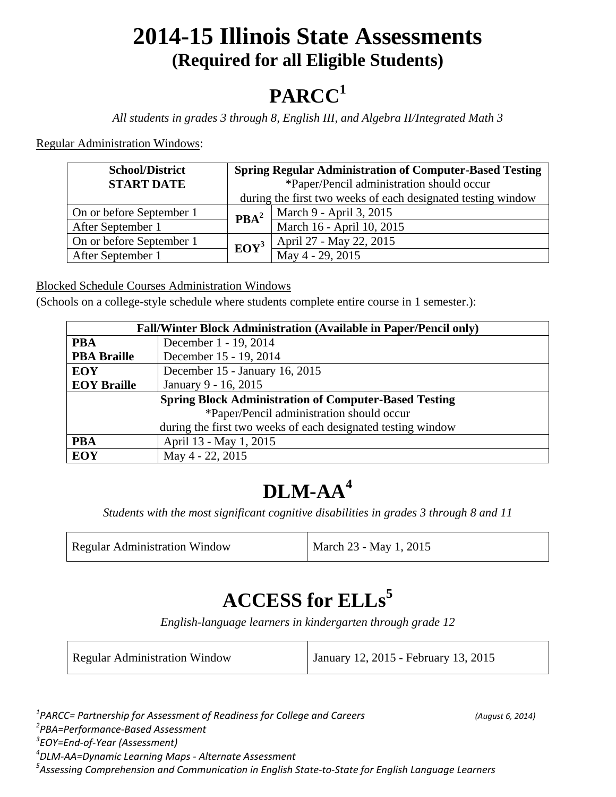## **2014-15 Illinois State Assessments (Required for all Eligible Students)**

# **PARCC<sup>1</sup>**

*All students in grades 3 through 8, English III, and Algebra II/Integrated Math 3*

Regular Administration Windows:

| <b>School/District</b>   | <b>Spring Regular Administration of Computer-Based Testing</b> |                           |
|--------------------------|----------------------------------------------------------------|---------------------------|
| <b>START DATE</b>        | *Paper/Pencil administration should occur                      |                           |
|                          | during the first two weeks of each designated testing window   |                           |
| On or before September 1 | $\mathbf{PBA}^2$                                               | March 9 - April 3, 2015   |
| After September 1        |                                                                | March 16 - April 10, 2015 |
| On or before September 1 | $EOY^3$                                                        | April 27 - May 22, 2015   |
| After September 1        |                                                                | May 4 - 29, 2015          |

Blocked Schedule Courses Administration Windows

(Schools on a college-style schedule where students complete entire course in 1 semester.):

| <b>Fall/Winter Block Administration (Available in Paper/Pencil only)</b> |                                |
|--------------------------------------------------------------------------|--------------------------------|
| <b>PBA</b>                                                               | December 1 - 19, 2014          |
| <b>PBA Braille</b>                                                       | December 15 - 19, 2014         |
| <b>EOY</b>                                                               | December 15 - January 16, 2015 |
| <b>EOY Braille</b>                                                       | January 9 - 16, 2015           |
| <b>Spring Block Administration of Computer-Based Testing</b>             |                                |
| *Paper/Pencil administration should occur                                |                                |
| during the first two weeks of each designated testing window             |                                |
| <b>PBA</b>                                                               | April 13 - May 1, 2015         |
| <b>EOY</b>                                                               | May 4 - 22, 2015               |

### **DLM-AA<sup>4</sup>**

*Students with the most significant cognitive disabilities in grades 3 through 8 and 11* 

| <b>Regular Administration Window</b> | March 23 - May 1, 2015 |
|--------------------------------------|------------------------|
|                                      |                        |

### **ACCESS for ELLs<sup>5</sup>**

*English-language learners in kindergarten through grade 12*

| <b>Regular Administration Window</b> | January 12, 2015 - February 13, 2015 |
|--------------------------------------|--------------------------------------|
|--------------------------------------|--------------------------------------|

 *PARCC= Partnership for Assessment of Readiness for College and Careers (August 6, 2014) PBA=Performance-Based Assessment EOY=End-of-Year (Assessment) DLM-AA=Dynamic Learning Maps - Alternate Assessment Assessing Comprehension and Communication in English State-to-State for English Language Learners*